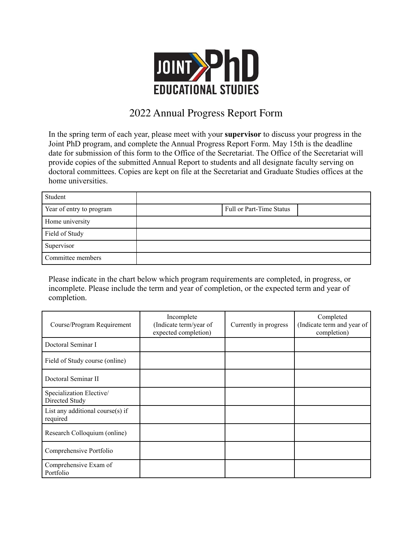

## 2022 Annual Progress Report Form

In the spring term of each year, please meet with your **supervisor** to discuss your progress in the Joint PhD program, and complete the Annual Progress Report Form. May 15th is the deadline date for submission of this form to the Office of the Secretariat. The Office of the Secretariat will provide copies of the submitted Annual Report to students and all designate faculty serving on doctoral committees. Copies are kept on file at the Secretariat and Graduate Studies offices at the home universities.

| Student                  |                          |
|--------------------------|--------------------------|
| Year of entry to program | Full or Part-Time Status |
| Home university          |                          |
| Field of Study           |                          |
| Supervisor               |                          |
| Committee members        |                          |

Please indicate in the chart below which program requirements are completed, in progress, or incomplete. Please include the term and year of completion, or the expected term and year of completion.

| Course/Program Requirement                   | Incomplete<br>(Indicate term/year of<br>expected completion) | Currently in progress | Completed<br>(Indicate term and year of<br>completion) |
|----------------------------------------------|--------------------------------------------------------------|-----------------------|--------------------------------------------------------|
| Doctoral Seminar I                           |                                                              |                       |                                                        |
| Field of Study course (online)               |                                                              |                       |                                                        |
| Doctoral Seminar II                          |                                                              |                       |                                                        |
| Specialization Elective/<br>Directed Study   |                                                              |                       |                                                        |
| List any additional course(s) if<br>required |                                                              |                       |                                                        |
| Research Colloquium (online)                 |                                                              |                       |                                                        |
| Comprehensive Portfolio                      |                                                              |                       |                                                        |
| Comprehensive Exam of<br>Portfolio           |                                                              |                       |                                                        |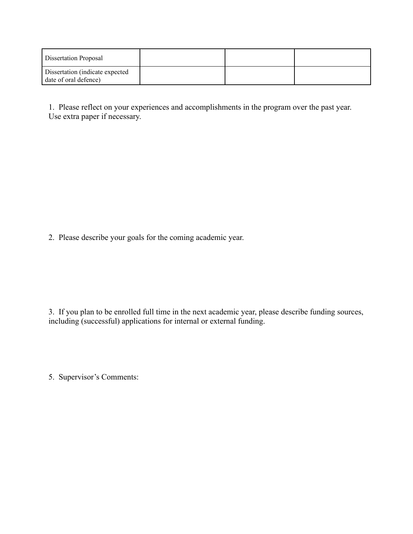| Dissertation Proposal                                    |  |  |
|----------------------------------------------------------|--|--|
| Dissertation (indicate expected<br>date of oral defence) |  |  |

1. Please reflect on your experiences and accomplishments in the program over the past year. Use extra paper if necessary.

2. Please describe your goals for the coming academic year.

3. If you plan to be enrolled full time in the next academic year, please describe funding sources, including (successful) applications for internal or external funding.

5. Supervisor's Comments: